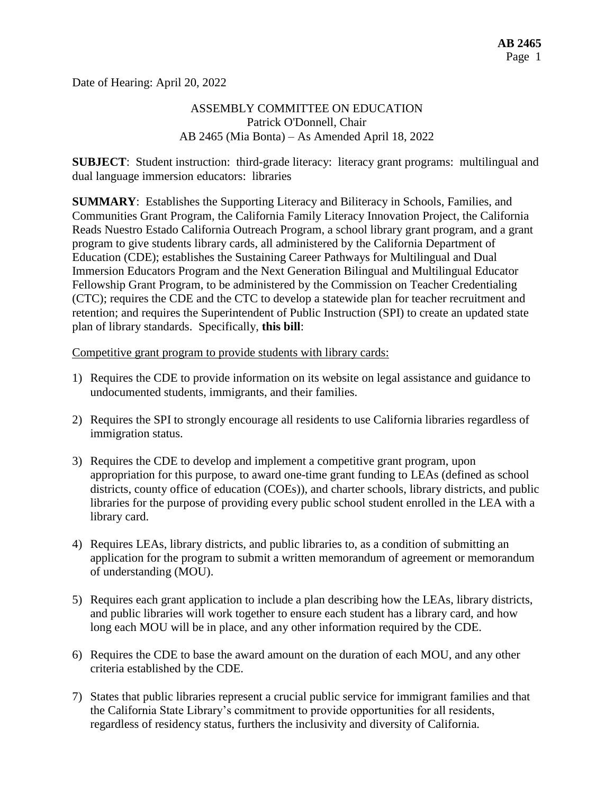Date of Hearing: April 20, 2022

# ASSEMBLY COMMITTEE ON EDUCATION Patrick O'Donnell, Chair AB 2465 (Mia Bonta) – As Amended April 18, 2022

**SUBJECT**: Student instruction: third-grade literacy: literacy grant programs: multilingual and dual language immersion educators: libraries

**SUMMARY**: Establishes the Supporting Literacy and Biliteracy in Schools, Families, and Communities Grant Program, the California Family Literacy Innovation Project, the California Reads Nuestro Estado California Outreach Program, a school library grant program, and a grant program to give students library cards, all administered by the California Department of Education (CDE); establishes the Sustaining Career Pathways for Multilingual and Dual Immersion Educators Program and the Next Generation Bilingual and Multilingual Educator Fellowship Grant Program, to be administered by the Commission on Teacher Credentialing (CTC); requires the CDE and the CTC to develop a statewide plan for teacher recruitment and retention; and requires the Superintendent of Public Instruction (SPI) to create an updated state plan of library standards. Specifically, **this bill**:

Competitive grant program to provide students with library cards:

- 1) Requires the CDE to provide information on its website on legal assistance and guidance to undocumented students, immigrants, and their families.
- 2) Requires the SPI to strongly encourage all residents to use California libraries regardless of immigration status.
- 3) Requires the CDE to develop and implement a competitive grant program, upon appropriation for this purpose, to award one-time grant funding to LEAs (defined as school districts, county office of education (COEs)), and charter schools, library districts, and public libraries for the purpose of providing every public school student enrolled in the LEA with a library card.
- 4) Requires LEAs, library districts, and public libraries to, as a condition of submitting an application for the program to submit a written memorandum of agreement or memorandum of understanding (MOU).
- 5) Requires each grant application to include a plan describing how the LEAs, library districts, and public libraries will work together to ensure each student has a library card, and how long each MOU will be in place, and any other information required by the CDE.
- 6) Requires the CDE to base the award amount on the duration of each MOU, and any other criteria established by the CDE.
- 7) States that public libraries represent a crucial public service for immigrant families and that the California State Library's commitment to provide opportunities for all residents, regardless of residency status, furthers the inclusivity and diversity of California.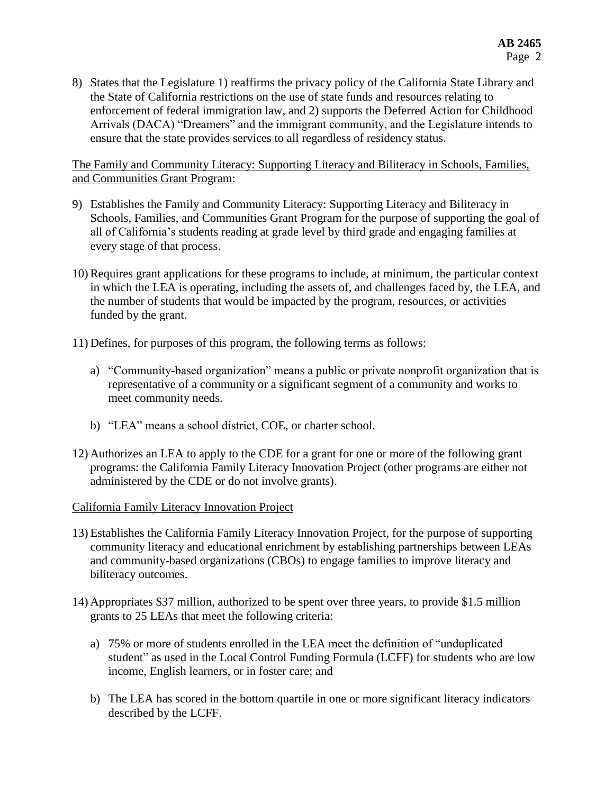8) States that the Legislature 1) reaffirms the privacy policy of the California State Library and the State of California restrictions on the use of state funds and resources relating to enforcement of federal immigration law, and 2) supports the Deferred Action for Childhood Arrivals (DACA) "Dreamers" and the immigrant community, and the Legislature intends to ensure that the state provides services to all regardless of residency status.

The Family and Community Literacy: Supporting Literacy and Biliteracy in Schools, Families, and Communities Grant Program:

- 9) Establishes the Family and Community Literacy: Supporting Literacy and Biliteracy in Schools, Families, and Communities Grant Program for the purpose of supporting the goal of all of California's students reading at grade level by third grade and engaging families at every stage of that process.
- 10) Requires grant applications for these programs to include, at minimum, the particular context in which the LEA is operating, including the assets of, and challenges faced by, the LEA, and the number of students that would be impacted by the program, resources, or activities funded by the grant.
- 11) Defines, for purposes of this program, the following terms as follows:
	- a) "Community-based organization" means a public or private nonprofit organization that is representative of a community or a significant segment of a community and works to meet community needs.
	- b) "LEA" means a school district, COE, or charter school.
- 12) Authorizes an LEA to apply to the CDE for a grant for one or more of the following grant programs: the California Family Literacy Innovation Project (other programs are either not administered by the CDE or do not involve grants).

## California Family Literacy Innovation Project

- 13) Establishes the California Family Literacy Innovation Project, for the purpose of supporting community literacy and educational enrichment by establishing partnerships between LEAs and community-based organizations (CBOs) to engage families to improve literacy and biliteracy outcomes.
- 14) Appropriates \$37 million, authorized to be spent over three years, to provide \$1.5 million grants to 25 LEAs that meet the following criteria:
	- a) 75% or more of students enrolled in the LEA meet the definition of "unduplicated student" as used in the Local Control Funding Formula (LCFF) for students who are low income, English learners, or in foster care; and
	- b) The LEA has scored in the bottom quartile in one or more significant literacy indicators described by the LCFF.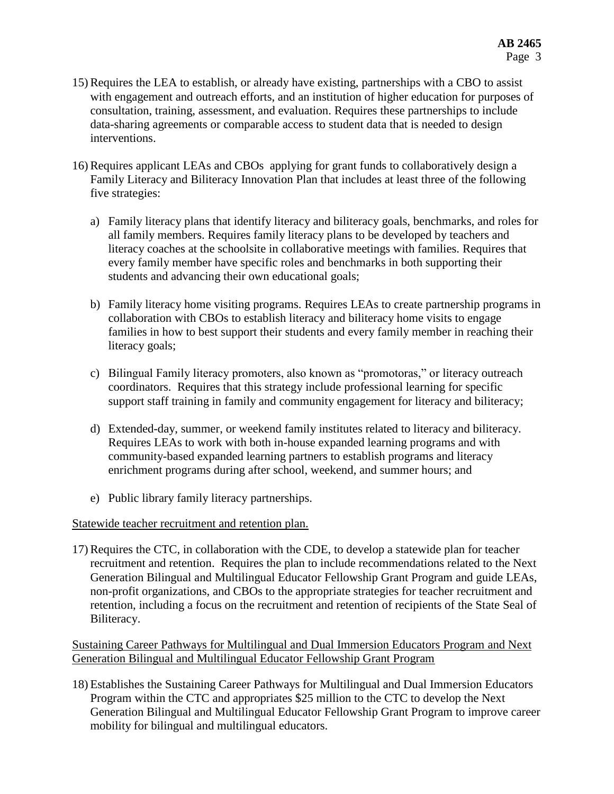- 15) Requires the LEA to establish, or already have existing, partnerships with a CBO to assist with engagement and outreach efforts, and an institution of higher education for purposes of consultation, training, assessment, and evaluation. Requires these partnerships to include data-sharing agreements or comparable access to student data that is needed to design interventions.
- 16) Requires applicant LEAs and CBOs applying for grant funds to collaboratively design a Family Literacy and Biliteracy Innovation Plan that includes at least three of the following five strategies:
	- a) Family literacy plans that identify literacy and biliteracy goals, benchmarks, and roles for all family members. Requires family literacy plans to be developed by teachers and literacy coaches at the schoolsite in collaborative meetings with families. Requires that every family member have specific roles and benchmarks in both supporting their students and advancing their own educational goals;
	- b) Family literacy home visiting programs. Requires LEAs to create partnership programs in collaboration with CBOs to establish literacy and biliteracy home visits to engage families in how to best support their students and every family member in reaching their literacy goals;
	- c) Bilingual Family literacy promoters, also known as "promotoras," or literacy outreach coordinators. Requires that this strategy include professional learning for specific support staff training in family and community engagement for literacy and biliteracy;
	- d) Extended-day, summer, or weekend family institutes related to literacy and biliteracy. Requires LEAs to work with both in-house expanded learning programs and with community-based expanded learning partners to establish programs and literacy enrichment programs during after school, weekend, and summer hours; and
	- e) Public library family literacy partnerships.

# Statewide teacher recruitment and retention plan.

17) Requires the CTC, in collaboration with the CDE, to develop a statewide plan for teacher recruitment and retention. Requires the plan to include recommendations related to the Next Generation Bilingual and Multilingual Educator Fellowship Grant Program and guide LEAs, non-profit organizations, and CBOs to the appropriate strategies for teacher recruitment and retention, including a focus on the recruitment and retention of recipients of the State Seal of Biliteracy.

Sustaining Career Pathways for Multilingual and Dual Immersion Educators Program and Next Generation Bilingual and Multilingual Educator Fellowship Grant Program

18) Establishes the Sustaining Career Pathways for Multilingual and Dual Immersion Educators Program within the CTC and appropriates \$25 million to the CTC to develop the Next Generation Bilingual and Multilingual Educator Fellowship Grant Program to improve career mobility for bilingual and multilingual educators.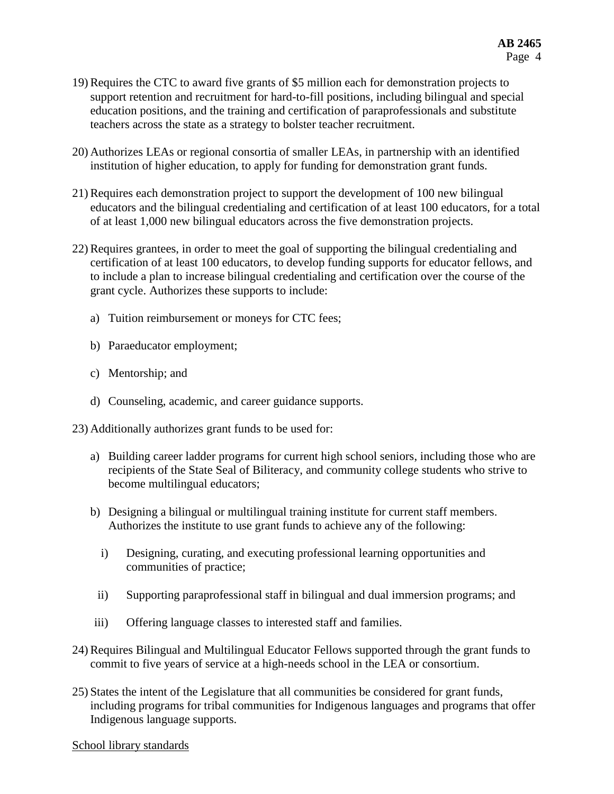- 19) Requires the CTC to award five grants of \$5 million each for demonstration projects to support retention and recruitment for hard-to-fill positions, including bilingual and special education positions, and the training and certification of paraprofessionals and substitute teachers across the state as a strategy to bolster teacher recruitment.
- 20) Authorizes LEAs or regional consortia of smaller LEAs, in partnership with an identified institution of higher education, to apply for funding for demonstration grant funds.
- 21) Requires each demonstration project to support the development of 100 new bilingual educators and the bilingual credentialing and certification of at least 100 educators, for a total of at least 1,000 new bilingual educators across the five demonstration projects.
- 22) Requires grantees, in order to meet the goal of supporting the bilingual credentialing and certification of at least 100 educators, to develop funding supports for educator fellows, and to include a plan to increase bilingual credentialing and certification over the course of the grant cycle. Authorizes these supports to include:
	- a) Tuition reimbursement or moneys for CTC fees;
	- b) Paraeducator employment;
	- c) Mentorship; and
	- d) Counseling, academic, and career guidance supports.

23) Additionally authorizes grant funds to be used for:

- a) Building career ladder programs for current high school seniors, including those who are recipients of the State Seal of Biliteracy, and community college students who strive to become multilingual educators;
- b) Designing a bilingual or multilingual training institute for current staff members. Authorizes the institute to use grant funds to achieve any of the following:
	- i) Designing, curating, and executing professional learning opportunities and communities of practice;
	- ii) Supporting paraprofessional staff in bilingual and dual immersion programs; and
- iii) Offering language classes to interested staff and families.
- 24) Requires Bilingual and Multilingual Educator Fellows supported through the grant funds to commit to five years of service at a high-needs school in the LEA or consortium.
- 25) States the intent of the Legislature that all communities be considered for grant funds, including programs for tribal communities for Indigenous languages and programs that offer Indigenous language supports.

#### School library standards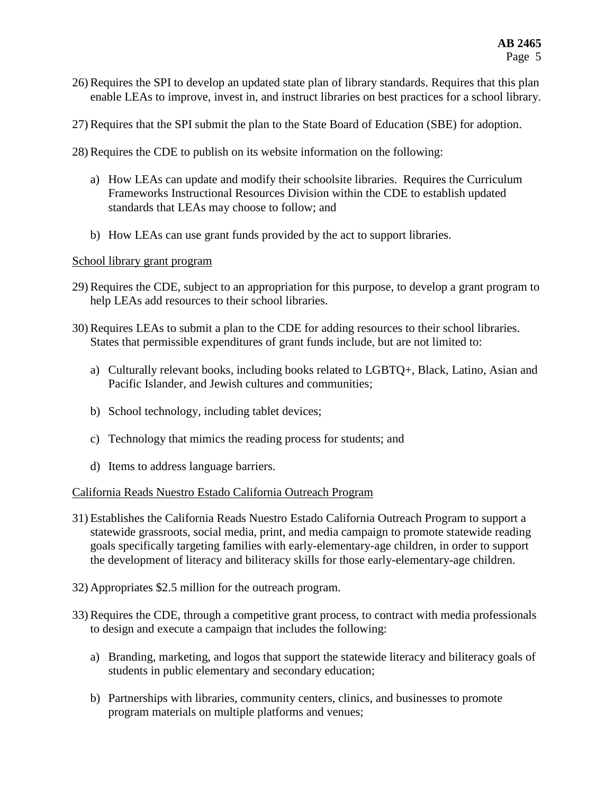- 26) Requires the SPI to develop an updated state plan of library standards. Requires that this plan enable LEAs to improve, invest in, and instruct libraries on best practices for a school library.
- 27) Requires that the SPI submit the plan to the State Board of Education (SBE) for adoption.
- 28) Requires the CDE to publish on its website information on the following:
	- a) How LEAs can update and modify their schoolsite libraries. Requires the Curriculum Frameworks Instructional Resources Division within the CDE to establish updated standards that LEAs may choose to follow; and
	- b) How LEAs can use grant funds provided by the act to support libraries.

### School library grant program

- 29) Requires the CDE, subject to an appropriation for this purpose, to develop a grant program to help LEAs add resources to their school libraries.
- 30) Requires LEAs to submit a plan to the CDE for adding resources to their school libraries. States that permissible expenditures of grant funds include, but are not limited to:
	- a) Culturally relevant books, including books related to LGBTQ+, Black, Latino, Asian and Pacific Islander, and Jewish cultures and communities;
	- b) School technology, including tablet devices;
	- c) Technology that mimics the reading process for students; and
	- d) Items to address language barriers.

## California Reads Nuestro Estado California Outreach Program

- 31) Establishes the California Reads Nuestro Estado California Outreach Program to support a statewide grassroots, social media, print, and media campaign to promote statewide reading goals specifically targeting families with early-elementary-age children, in order to support the development of literacy and biliteracy skills for those early-elementary-age children.
- 32) Appropriates \$2.5 million for the outreach program.
- 33) Requires the CDE, through a competitive grant process, to contract with media professionals to design and execute a campaign that includes the following:
	- a) Branding, marketing, and logos that support the statewide literacy and biliteracy goals of students in public elementary and secondary education;
	- b) Partnerships with libraries, community centers, clinics, and businesses to promote program materials on multiple platforms and venues;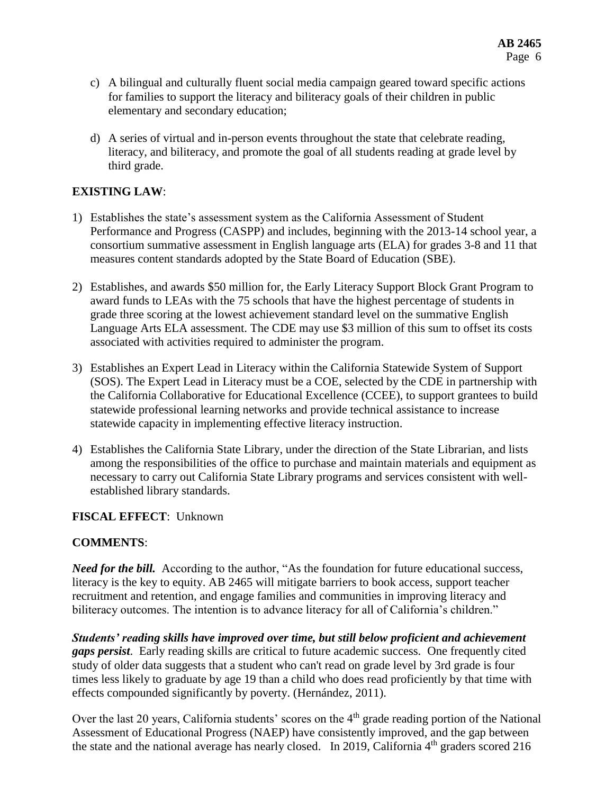- c) A bilingual and culturally fluent social media campaign geared toward specific actions for families to support the literacy and biliteracy goals of their children in public elementary and secondary education;
- d) A series of virtual and in-person events throughout the state that celebrate reading, literacy, and biliteracy, and promote the goal of all students reading at grade level by third grade.

# **EXISTING LAW**:

- 1) Establishes the state's assessment system as the California Assessment of Student Performance and Progress (CASPP) and includes, beginning with the 2013-14 school year, a consortium summative assessment in English language arts (ELA) for grades 3-8 and 11 that measures content standards adopted by the State Board of Education (SBE).
- 2) Establishes, and awards \$50 million for, the Early Literacy Support Block Grant Program to award funds to LEAs with the 75 schools that have the highest percentage of students in grade three scoring at the lowest achievement standard level on the summative English Language Arts ELA assessment. The CDE may use \$3 million of this sum to offset its costs associated with activities required to administer the program.
- 3) Establishes an Expert Lead in Literacy within the California Statewide System of Support (SOS). The Expert Lead in Literacy must be a COE, selected by the CDE in partnership with the California Collaborative for Educational Excellence (CCEE), to support grantees to build statewide professional learning networks and provide technical assistance to increase statewide capacity in implementing effective literacy instruction.
- 4) Establishes the California State Library, under the direction of the State Librarian, and lists among the responsibilities of the office to purchase and maintain materials and equipment as necessary to carry out California State Library programs and services consistent with wellestablished library standards.

# **FISCAL EFFECT**: Unknown

# **COMMENTS**:

*Need for the bill.* According to the author, "As the foundation for future educational success, literacy is the key to equity. AB 2465 will mitigate barriers to book access, support teacher recruitment and retention, and engage families and communities in improving literacy and biliteracy outcomes. The intention is to advance literacy for all of California's children."

*Students' reading skills have improved over time, but still below proficient and achievement gaps persist*. Early reading skills are critical to future academic success. One frequently cited study of older data suggests that a student who can't read on grade level by 3rd grade is four times less likely to graduate by age 19 than a child who does read proficiently by that time with effects compounded significantly by poverty. (Hernández, 2011).

Over the last 20 years, California students' scores on the 4<sup>th</sup> grade reading portion of the National Assessment of Educational Progress (NAEP) have consistently improved, and the gap between the state and the national average has nearly closed. In 2019, California  $4<sup>th</sup>$  graders scored 216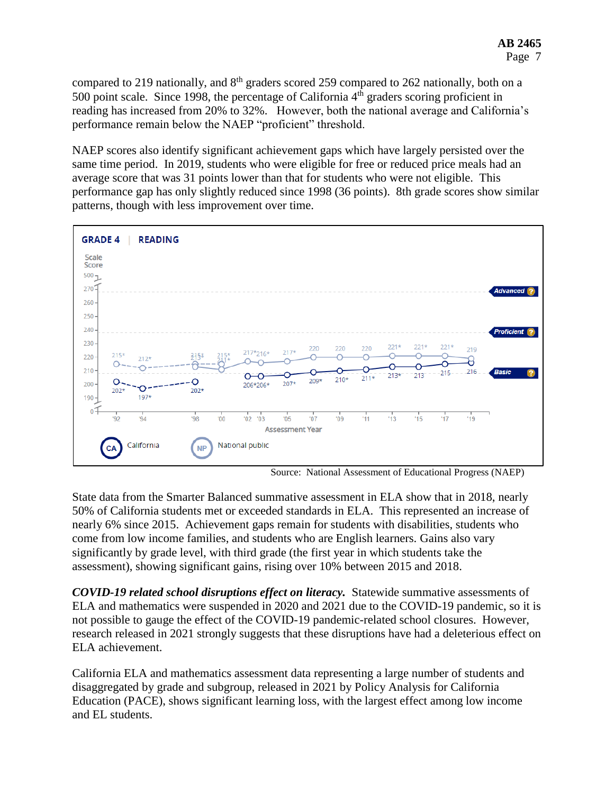compared to 219 nationally, and 8<sup>th</sup> graders scored 259 compared to 262 nationally, both on a 500 point scale. Since 1998, the percentage of California  $4<sup>th</sup>$  graders scoring proficient in reading has increased from 20% to 32%. However, both the national average and California's performance remain below the NAEP "proficient" threshold.

NAEP scores also identify significant achievement gaps which have largely persisted over the same time period. In 2019, students who were eligible for free or reduced price meals had an average score that was 31 points lower than that for students who were not eligible. This performance gap has only slightly reduced since 1998 (36 points). 8th grade scores show similar patterns, though with less improvement over time.



Source: National Assessment of Educational Progress (NAEP)

State data from the Smarter Balanced summative assessment in ELA show that in 2018, nearly 50% of California students met or exceeded standards in ELA. This represented an increase of nearly 6% since 2015. Achievement gaps remain for students with disabilities, students who come from low income families, and students who are English learners. Gains also vary significantly by grade level, with third grade (the first year in which students take the assessment), showing significant gains, rising over 10% between 2015 and 2018.

*COVID-19 related school disruptions effect on literacy.* Statewide summative assessments of ELA and mathematics were suspended in 2020 and 2021 due to the COVID-19 pandemic, so it is not possible to gauge the effect of the COVID-19 pandemic-related school closures. However, research released in 2021 strongly suggests that these disruptions have had a deleterious effect on ELA achievement.

California ELA and mathematics assessment data representing a large number of students and disaggregated by grade and subgroup, released in 2021 by Policy Analysis for California Education (PACE), shows significant learning loss, with the largest effect among low income and EL students.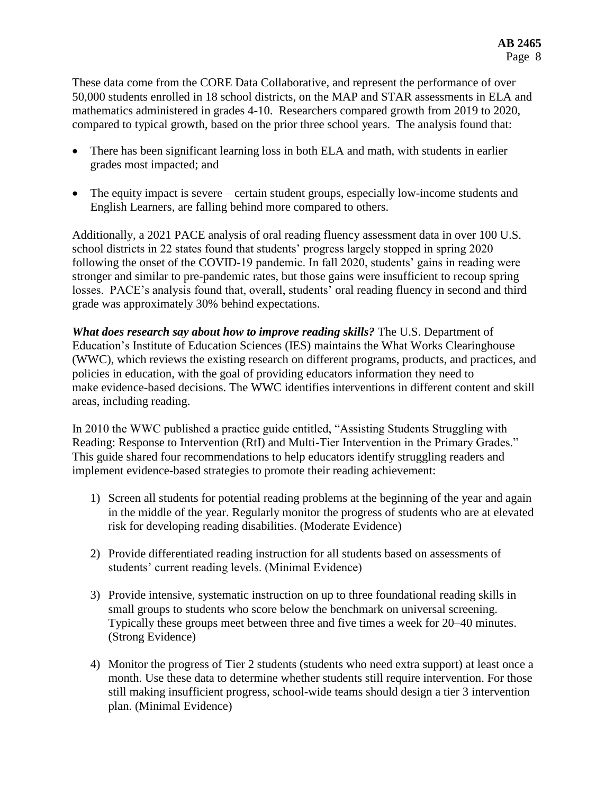These data come from the CORE Data Collaborative, and represent the performance of over 50,000 students enrolled in 18 school districts, on the MAP and STAR assessments in ELA and mathematics administered in grades 4-10. Researchers compared growth from 2019 to 2020, compared to typical growth, based on the prior three school years. The analysis found that:

- There has been significant learning loss in both ELA and math, with students in earlier grades most impacted; and
- The equity impact is severe certain student groups, especially low-income students and English Learners, are falling behind more compared to others.

Additionally, a 2021 PACE analysis of oral reading fluency assessment data in over 100 U.S. school districts in 22 states found that students' progress largely stopped in spring 2020 following the onset of the COVID-19 pandemic. In fall 2020, students' gains in reading were stronger and similar to pre-pandemic rates, but those gains were insufficient to recoup spring losses. PACE's analysis found that, overall, students' oral reading fluency in second and third grade was approximately 30% behind expectations.

*What does research say about how to improve reading skills?* The U.S. Department of Education's Institute of Education Sciences (IES) maintains the What Works Clearinghouse (WWC), which reviews the existing research on different programs, products, and practices, and policies in education, with the goal of providing educators information they need to make evidence-based decisions. The WWC identifies interventions in different content and skill areas, including reading.

In 2010 the WWC published a practice guide entitled, "Assisting Students Struggling with Reading: Response to Intervention (RtI) and Multi-Tier Intervention in the Primary Grades." This guide shared four recommendations to help educators identify struggling readers and implement evidence-based strategies to promote their reading achievement:

- 1) Screen all students for potential reading problems at the beginning of the year and again in the middle of the year. Regularly monitor the progress of students who are at elevated risk for developing reading disabilities. (Moderate Evidence)
- 2) Provide differentiated reading instruction for all students based on assessments of students' current reading levels. (Minimal Evidence)
- 3) Provide intensive, systematic instruction on up to three foundational reading skills in small groups to students who score below the benchmark on universal screening. Typically these groups meet between three and five times a week for 20–40 minutes. (Strong Evidence)
- 4) Monitor the progress of Tier 2 students (students who need extra support) at least once a month. Use these data to determine whether students still require intervention. For those still making insufficient progress, school-wide teams should design a tier 3 intervention plan. (Minimal Evidence)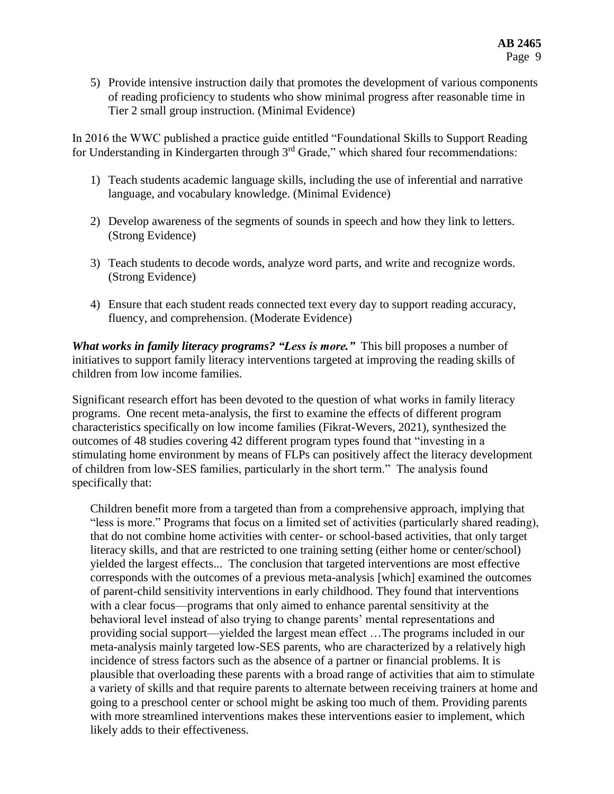5) Provide intensive instruction daily that promotes the development of various components of reading proficiency to students who show minimal progress after reasonable time in Tier 2 small group instruction. (Minimal Evidence)

In 2016 the WWC published a practice guide entitled "Foundational Skills to Support Reading for Understanding in Kindergarten through  $3<sup>rd</sup>$  Grade," which shared four recommendations:

- 1) Teach students academic language skills, including the use of inferential and narrative language, and vocabulary knowledge. (Minimal Evidence)
- 2) Develop awareness of the segments of sounds in speech and how they link to letters. (Strong Evidence)
- 3) Teach students to decode words, analyze word parts, and write and recognize words. (Strong Evidence)
- 4) Ensure that each student reads connected text every day to support reading accuracy, fluency, and comprehension. (Moderate Evidence)

*What works in family literacy programs? "Less is more."* This bill proposes a number of initiatives to support family literacy interventions targeted at improving the reading skills of children from low income families.

Significant research effort has been devoted to the question of what works in family literacy programs. One recent meta-analysis, the first to examine the effects of different program characteristics specifically on low income families (Fikrat-Wevers, 2021), synthesized the outcomes of 48 studies covering 42 different program types found that "investing in a stimulating home environment by means of FLPs can positively affect the literacy development of children from low-SES families, particularly in the short term." The analysis found specifically that:

Children benefit more from a targeted than from a comprehensive approach, implying that "less is more." Programs that focus on a limited set of activities (particularly shared reading), that do not combine home activities with center- or school-based activities, that only target literacy skills, and that are restricted to one training setting (either home or center/school) yielded the largest effects... The conclusion that targeted interventions are most effective corresponds with the outcomes of a previous meta-analysis [which] examined the outcomes of parent-child sensitivity interventions in early childhood. They found that interventions with a clear focus—programs that only aimed to enhance parental sensitivity at the behavioral level instead of also trying to change parents' mental representations and providing social support—yielded the largest mean effect …The programs included in our meta-analysis mainly targeted low-SES parents, who are characterized by a relatively high incidence of stress factors such as the absence of a partner or financial problems. It is plausible that overloading these parents with a broad range of activities that aim to stimulate a variety of skills and that require parents to alternate between receiving trainers at home and going to a preschool center or school might be asking too much of them. Providing parents with more streamlined interventions makes these interventions easier to implement, which likely adds to their effectiveness.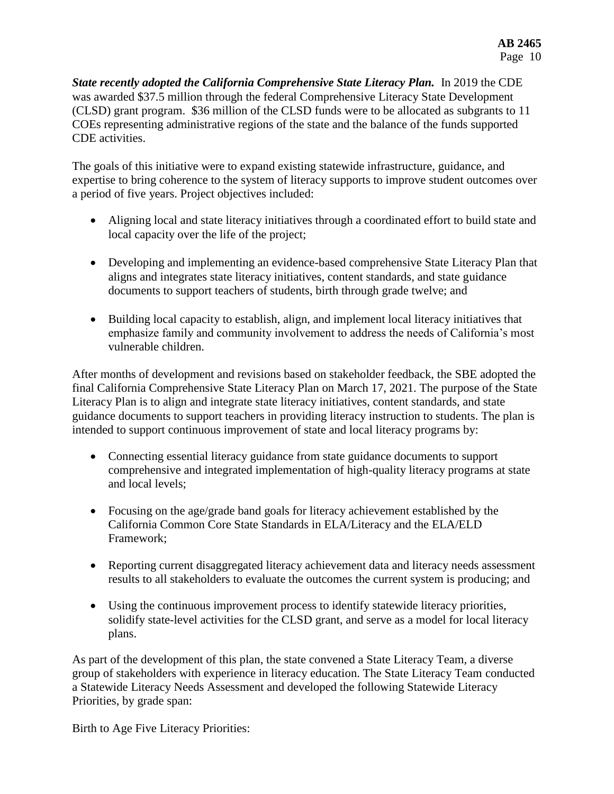*State recently adopted the California Comprehensive State Literacy Plan.* In 2019 the CDE was awarded \$37.5 million through the federal Comprehensive Literacy State Development (CLSD) grant program. \$36 million of the CLSD funds were to be allocated as subgrants to 11 COEs representing administrative regions of the state and the balance of the funds supported CDE activities.

The goals of this initiative were to expand existing statewide infrastructure, guidance, and expertise to bring coherence to the system of literacy supports to improve student outcomes over a period of five years. Project objectives included:

- Aligning local and state literacy initiatives through a coordinated effort to build state and local capacity over the life of the project;
- Developing and implementing an evidence-based comprehensive State Literacy Plan that aligns and integrates state literacy initiatives, content standards, and state guidance documents to support teachers of students, birth through grade twelve; and
- Building local capacity to establish, align, and implement local literacy initiatives that emphasize family and community involvement to address the needs of California's most vulnerable children.

After months of development and revisions based on stakeholder feedback, the SBE adopted the final California Comprehensive State Literacy Plan on March 17, 2021. The purpose of the State Literacy Plan is to align and integrate state literacy initiatives, content standards, and state guidance documents to support teachers in providing literacy instruction to students. The plan is intended to support continuous improvement of state and local literacy programs by:

- Connecting essential literacy guidance from state guidance documents to support comprehensive and integrated implementation of high-quality literacy programs at state and local levels;
- Focusing on the age/grade band goals for literacy achievement established by the California Common Core State Standards in ELA/Literacy and the ELA/ELD Framework;
- Reporting current disaggregated literacy achievement data and literacy needs assessment results to all stakeholders to evaluate the outcomes the current system is producing; and
- Using the continuous improvement process to identify statewide literacy priorities, solidify state-level activities for the CLSD grant, and serve as a model for local literacy plans.

As part of the development of this plan, the state convened a State Literacy Team, a diverse group of stakeholders with experience in literacy education. The State Literacy Team conducted a Statewide Literacy Needs Assessment and developed the following Statewide Literacy Priorities, by grade span:

Birth to Age Five Literacy Priorities: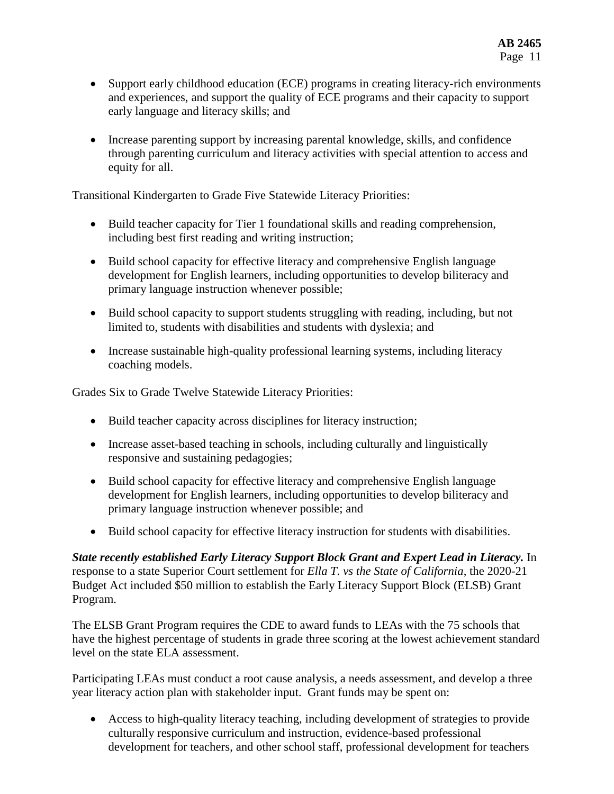- Support early childhood education (ECE) programs in creating literacy-rich environments and experiences, and support the quality of ECE programs and their capacity to support early language and literacy skills; and
- Increase parenting support by increasing parental knowledge, skills, and confidence through parenting curriculum and literacy activities with special attention to access and equity for all.

Transitional Kindergarten to Grade Five Statewide Literacy Priorities:

- Build teacher capacity for Tier 1 foundational skills and reading comprehension, including best first reading and writing instruction;
- Build school capacity for effective literacy and comprehensive English language development for English learners, including opportunities to develop biliteracy and primary language instruction whenever possible;
- Build school capacity to support students struggling with reading, including, but not limited to, students with disabilities and students with dyslexia; and
- Increase sustainable high-quality professional learning systems, including literacy coaching models.

Grades Six to Grade Twelve Statewide Literacy Priorities:

- Build teacher capacity across disciplines for literacy instruction;
- Increase asset-based teaching in schools, including culturally and linguistically responsive and sustaining pedagogies;
- Build school capacity for effective literacy and comprehensive English language development for English learners, including opportunities to develop biliteracy and primary language instruction whenever possible; and
- Build school capacity for effective literacy instruction for students with disabilities.

*State recently established Early Literacy Support Block Grant and Expert Lead in Literacy.* In response to a state Superior Court settlement for *Ella T. vs the State of California*, the 2020-21 Budget Act included \$50 million to establish the Early Literacy Support Block (ELSB) Grant Program.

The ELSB Grant Program requires the CDE to award funds to LEAs with the 75 schools that have the highest percentage of students in grade three scoring at the lowest achievement standard level on the state ELA assessment.

Participating LEAs must conduct a root cause analysis, a needs assessment, and develop a three year literacy action plan with stakeholder input. Grant funds may be spent on:

 Access to high-quality literacy teaching, including development of strategies to provide culturally responsive curriculum and instruction, evidence-based professional development for teachers, and other school staff, professional development for teachers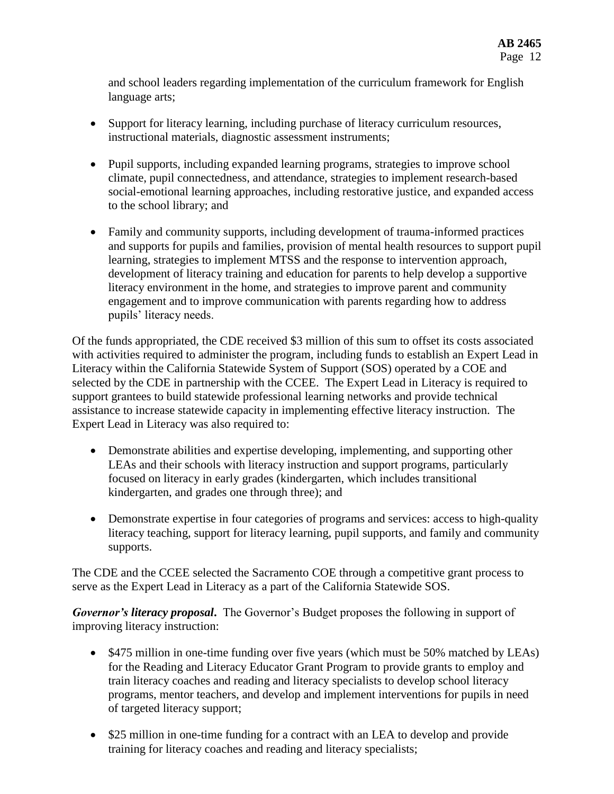and school leaders regarding implementation of the curriculum framework for English language arts;

- Support for literacy learning, including purchase of literacy curriculum resources, instructional materials, diagnostic assessment instruments;
- Pupil supports, including expanded learning programs, strategies to improve school climate, pupil connectedness, and attendance, strategies to implement research-based social-emotional learning approaches, including restorative justice, and expanded access to the school library; and
- Family and community supports, including development of trauma-informed practices and supports for pupils and families, provision of mental health resources to support pupil learning, strategies to implement MTSS and the response to intervention approach, development of literacy training and education for parents to help develop a supportive literacy environment in the home, and strategies to improve parent and community engagement and to improve communication with parents regarding how to address pupils' literacy needs.

Of the funds appropriated, the CDE received \$3 million of this sum to offset its costs associated with activities required to administer the program, including funds to establish an Expert Lead in Literacy within the California Statewide System of Support (SOS) operated by a COE and selected by the CDE in partnership with the CCEE. The Expert Lead in Literacy is required to support grantees to build statewide professional learning networks and provide technical assistance to increase statewide capacity in implementing effective literacy instruction. The Expert Lead in Literacy was also required to:

- Demonstrate abilities and expertise developing, implementing, and supporting other LEAs and their schools with literacy instruction and support programs, particularly focused on literacy in early grades (kindergarten, which includes transitional kindergarten, and grades one through three); and
- Demonstrate expertise in four categories of programs and services: access to high-quality literacy teaching, support for literacy learning, pupil supports, and family and community supports.

The CDE and the CCEE selected the Sacramento COE through a competitive grant process to serve as the Expert Lead in Literacy as a part of the California Statewide SOS.

*Governor's literacy proposal***.** The Governor's Budget proposes the following in support of improving literacy instruction:

- \$475 million in one-time funding over five years (which must be 50% matched by LEAs) for the Reading and Literacy Educator Grant Program to provide grants to employ and train literacy coaches and reading and literacy specialists to develop school literacy programs, mentor teachers, and develop and implement interventions for pupils in need of targeted literacy support;
- \$25 million in one-time funding for a contract with an LEA to develop and provide training for literacy coaches and reading and literacy specialists;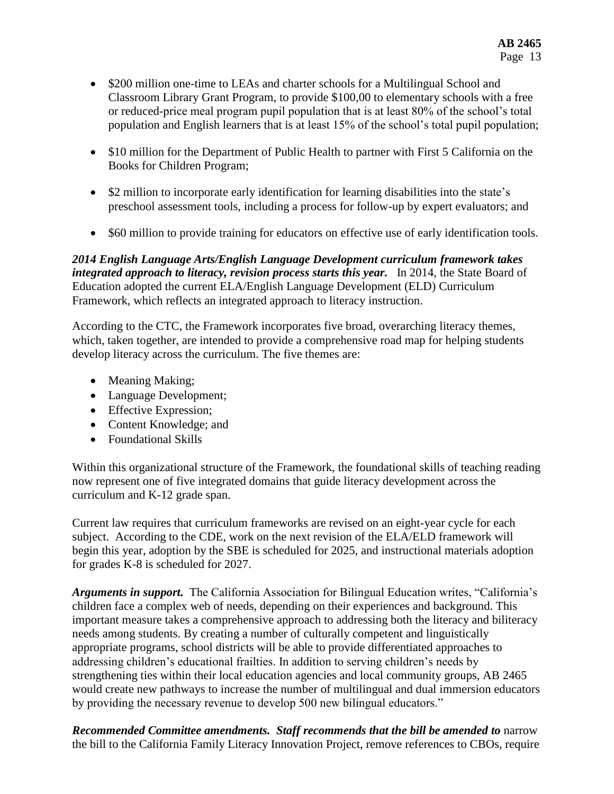- \$200 million one-time to LEAs and charter schools for a Multilingual School and Classroom Library Grant Program, to provide \$100,00 to elementary schools with a free or reduced-price meal program pupil population that is at least 80% of the school's total population and English learners that is at least 15% of the school's total pupil population;
- \$10 million for the Department of Public Health to partner with First 5 California on the Books for Children Program;
- \$2 million to incorporate early identification for learning disabilities into the state's preschool assessment tools, including a process for follow-up by expert evaluators; and
- \$60 million to provide training for educators on effective use of early identification tools.

*2014 English Language Arts/English Language Development curriculum framework takes integrated approach to literacy, revision process starts this year.* In 2014, the State Board of Education adopted the current ELA/English Language Development (ELD) Curriculum Framework, which reflects an integrated approach to literacy instruction.

According to the CTC, the Framework incorporates five broad, overarching literacy themes, which, taken together, are intended to provide a comprehensive road map for helping students develop literacy across the curriculum. The five themes are:

- Meaning Making;
- Language Development;
- Effective Expression;
- Content Knowledge; and
- Foundational Skills

Within this organizational structure of the Framework, the foundational skills of teaching reading now represent one of five integrated domains that guide literacy development across the curriculum and K-12 grade span.

Current law requires that curriculum frameworks are revised on an eight-year cycle for each subject. According to the CDE, work on the next revision of the ELA/ELD framework will begin this year, adoption by the SBE is scheduled for 2025, and instructional materials adoption for grades K-8 is scheduled for 2027.

*Arguments in support.* The California Association for Bilingual Education writes, "California's children face a complex web of needs, depending on their experiences and background. This important measure takes a comprehensive approach to addressing both the literacy and biliteracy needs among students. By creating a number of culturally competent and linguistically appropriate programs, school districts will be able to provide differentiated approaches to addressing children's educational frailties. In addition to serving children's needs by strengthening ties within their local education agencies and local community groups, AB 2465 would create new pathways to increase the number of multilingual and dual immersion educators by providing the necessary revenue to develop 500 new bilingual educators."

*Recommended Committee amendments. Staff recommends that the bill be amended to* narrow the bill to the California Family Literacy Innovation Project, remove references to CBOs, require